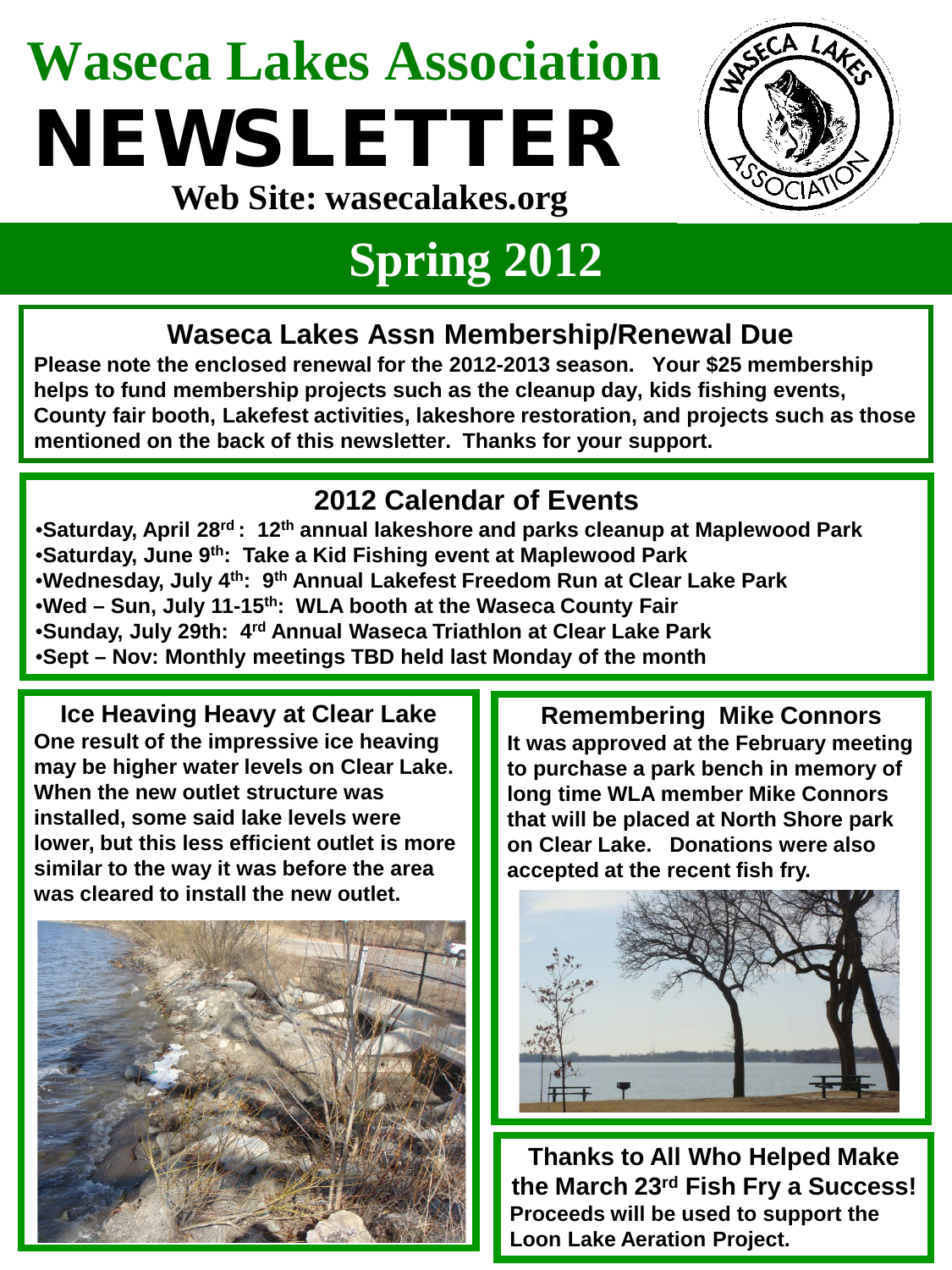## **Waseca Lakes Association** NEWSLETTER **Web Site: wasecalakes.org**



## **Spring 2012**

### **Waseca Lakes Assn Membership/Renewal Due**

**Please note the enclosed renewal for the 2012-2013 season. Your \$25 membership helps to fund membership projects such as the cleanup day, kids fishing events, County fair booth, Lakefest activities, lakeshore restoration, and projects such as those mentioned on the back of this newsletter. Thanks for your support.**

#### **2012 Calendar of Events**

•**Saturday, April 28rd : 12th annual lakeshore and parks cleanup at Maplewood Park** •**Saturday, June 9th: Take a Kid Fishing event at Maplewood Park** •**Wednesday, July 4th: 9th Annual Lakefest Freedom Run at Clear Lake Park** •**Wed – Sun, July 11-15th: WLA booth at the Waseca County Fair** •**Sunday, July 29th: 4rd Annual Waseca Triathlon at Clear Lake Park** •**Sept – Nov: Monthly meetings TBD held last Monday of the month**

**Ice Heaving Heavy at Clear Lake One result of the impressive ice heaving may be higher water levels on Clear Lake. When the new outlet structure was installed, some said lake levels were lower, but this less efficient outlet is more similar to the way it was before the area was cleared to install the new outlet.**



**Remembering Mike Connors It was approved at the February meeting to purchase a park bench in memory of long time WLA member Mike Connors that will be placed at North Shore park on Clear Lake. Donations were also accepted at the recent fish fry.**



**Thanks to All Who Helped Make the March 23rd Fish Fry a Success! Proceeds will be used to support the Loon Lake Aeration Project.**